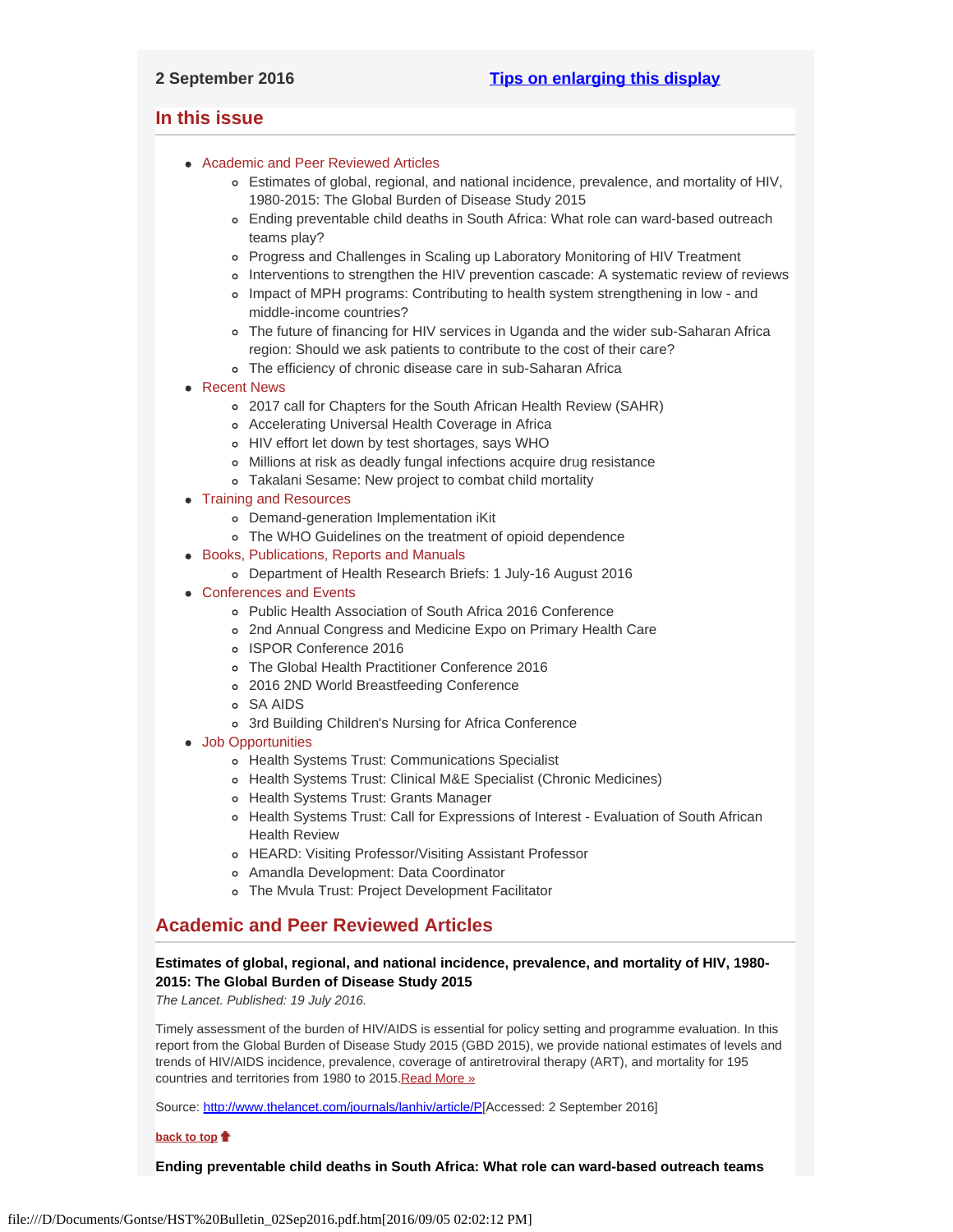## <span id="page-0-4"></span><span id="page-0-3"></span>**In this issue**

- [Academic and Peer Reviewed Articles](#page-0-0)
	- [Estimates of global, regional, and national incidence, prevalence, and mortality of HIV,](#page-0-1) [1980-2015: The Global Burden of Disease Study 2015](#page-0-1)
	- [Ending preventable child deaths in South Africa: What role can ward-based outreach](#page-0-2) [teams play?](#page-0-2)
	- [Progress and Challenges in Scaling up Laboratory Monitoring of HIV Treatment](#page-1-0)
	- [Interventions to strengthen the HIV prevention cascade: A systematic review of reviews](#page-1-1)
	- [Impact of MPH programs: Contributing to health system strengthening in low and](#page-1-2) [middle-income countries?](#page-1-2)
	- [The future of financing for HIV services in Uganda and the wider sub-Saharan Africa](#page-1-3) [region: Should we ask patients to contribute to the cost of their care?](#page-1-3)
	- [The efficiency of chronic disease care in sub-Saharan Africa](#page-2-0)
- [Recent News](#page-2-1)
	- [2017 call for Chapters for the South African Health Review \(SAHR\)](#page-2-2)
	- [Accelerating Universal Health Coverage in Africa](#page-2-3)
	- [HIV effort let down by test shortages, says WHO](#page-2-4)
	- [Millions at risk as deadly fungal infections acquire drug resistance](#page-2-5)
	- [Takalani Sesame: New project to combat child mortality](#page-2-6)
- [Training and Resources](#page-4-0)
	- [Demand-generation Implementation iKit](#page-3-0)
	- [The WHO Guidelines on the treatment of opioid dependence](#page-3-1)
- [Books, Publications, Reports and Manuals](#page-3-2)
	- [Department of Health Research Briefs: 1 July-16 August 2016](#page-3-3)
- [Conferences and Events](#page-3-4)
	- [Public Health Association of South Africa 2016 Conference](#page-3-5)
	- [2nd Annual Congress and Medicine Expo on Primary Health Care](#page-3-6)
	- [ISPOR Conference 2016](#page-3-7)
	- [The Global Health Practitioner Conference 2016](#page-3-8)
	- [2016 2ND World Breastfeeding Conference](#page-3-9)
	- [SA AIDS](#page-4-1)
	- [3rd Building Children's Nursing for Africa Conference](#page-4-2)
- [Job Opportunities](#page-0-3)
	- [Health Systems Trust: Communications Specialist](#page-4-0)
	- [Health Systems Trust: Clinical M&E Specialist \(Chronic Medicines\)](#page-4-3)
	- [Health Systems Trust: Grants Manager](#page-4-3)
	- o [Health Systems Trust: Call for Expressions of Interest Evaluation of South African](#page-4-4) [Health Review](#page-4-4)
	- [HEARD: Visiting Professor/Visiting Assistant Professor](#page-4-5)
	- [Amandla Development: Data Coordinator](#page-4-6)
	- [The Mvula Trust: Project Development Facilitator](#page-4-7)

## <span id="page-0-0"></span>**Academic and Peer Reviewed Articles**

## <span id="page-0-1"></span>**Estimates of global, regional, and national incidence, prevalence, and mortality of HIV, 1980- 2015: The Global Burden of Disease Study 2015**

*The Lancet. Published: 19 July 2016.*

Timely assessment of the burden of HIV/AIDS is essential for policy setting and programme evaluation. In this report from the Global Burden of Disease Study 2015 (GBD 2015), we provide national estimates of levels and trends of HIV/AIDS incidence, prevalence, coverage of antiretroviral therapy (ART), and mortality for 195 countries and territories from 1980 to 2015. [Read More »](http://www.thelancet.com/journals/lanhiv/article/PIIS2352-3018(16)30087-X/fulltext)

Source: [http://www.thelancet.com/journals/lanhiv/article/P](http://www.thelancet.com/journals/lanhiv/article/PIIS2352-3018(16)30087-X/fulltext)[Accessed: 2 September 2016]

#### **[back to top](#page-0-4)**

<span id="page-0-2"></span>**Ending preventable child deaths in South Africa: What role can ward-based outreach teams**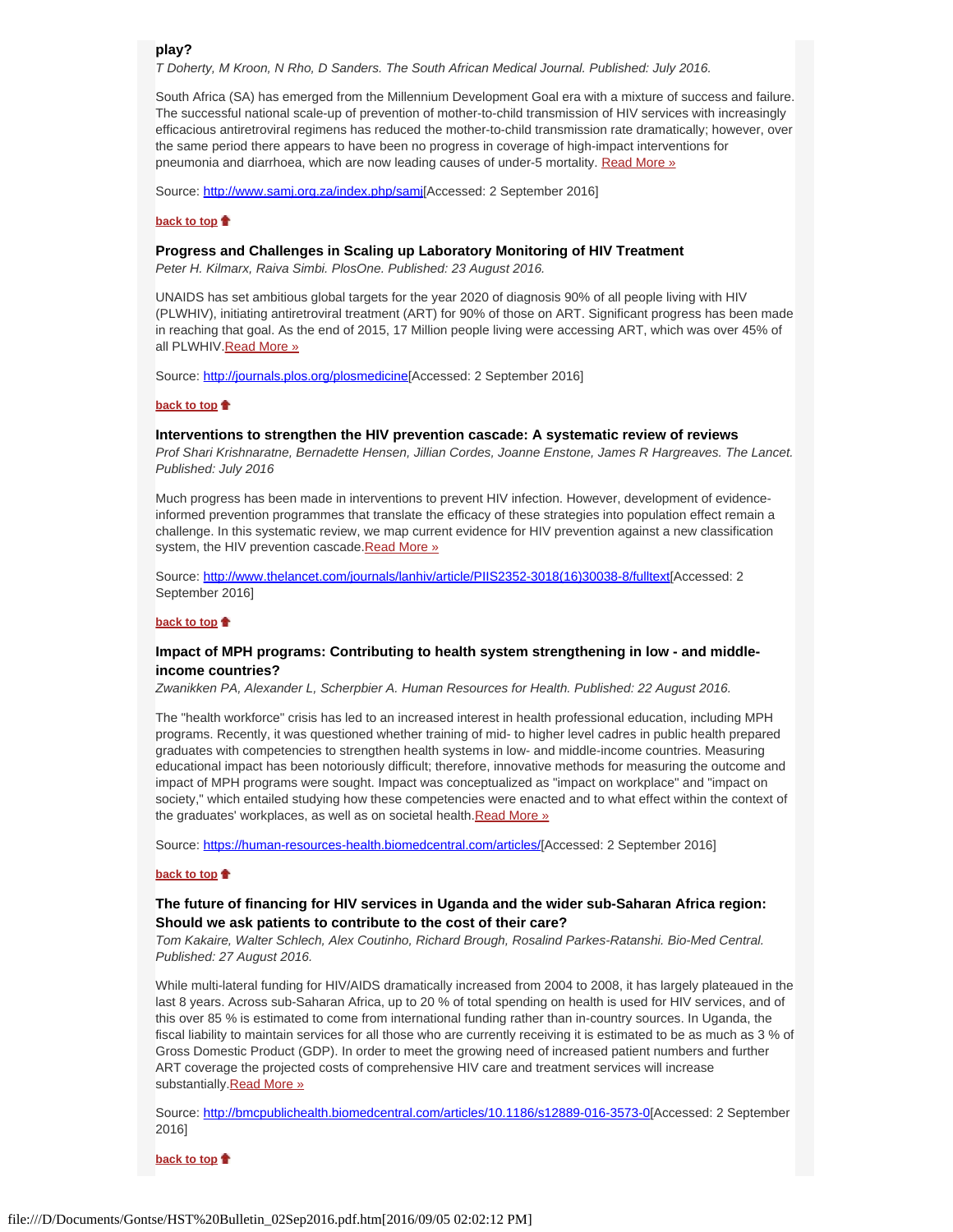**play?**

*T Doherty, M Kroon, N Rho, D Sanders. The South African Medical Journal. Published: July 2016.*

South Africa (SA) has emerged from the Millennium Development Goal era with a mixture of success and failure. The successful national scale-up of prevention of mother-to-child transmission of HIV services with increasingly efficacious antiretroviral regimens has reduced the mother-to-child transmission rate dramatically; however, over the same period there appears to have been no progress in coverage of high-impact interventions for pneumonia and diarrhoea, which are now leading causes of under-5 mortality. [Read More »](http://www.samj.org.za/index.php/samj/article/view/10790/7484)

Source: http://www.samj.org.za/index.php/sami[Accessed: 2 September 2016]

### **[back to top](#page-0-4)**

### <span id="page-1-0"></span>**Progress and Challenges in Scaling up Laboratory Monitoring of HIV Treatment**

*Peter H. Kilmarx, Raiva Simbi. PlosOne. Published: 23 August 2016.*

UNAIDS has set ambitious global targets for the year 2020 of diagnosis 90% of all people living with HIV (PLWHIV), initiating antiretroviral treatment (ART) for 90% of those on ART. Significant progress has been made in reaching that goal. As the end of 2015, 17 Million people living were accessing ART, which was over 45% of all PLWHIV. Read More »

Source: [http://journals.plos.org/plosmedicine](http://journals.plos.org/plosmedicine/article?id=10.1371/journal.pmed.1002089)[Accessed: 2 September 2016]

#### **[back to top](#page-0-4)**

## <span id="page-1-1"></span>**Interventions to strengthen the HIV prevention cascade: A systematic review of reviews**

*Prof Shari Krishnaratne, Bernadette Hensen, Jillian Cordes, Joanne Enstone, James R Hargreaves. The Lancet. Published: July 2016*

Much progress has been made in interventions to prevent HIV infection. However, development of evidenceinformed prevention programmes that translate the efficacy of these strategies into population effect remain a challenge. In this systematic review, we map current evidence for HIV prevention against a new classification system, the HIV prevention cascade. Read More »

Source: [http://www.thelancet.com/journals/lanhiv/article/PIIS2352-3018\(16\)30038-8/fulltext](http://www.thelancet.com/journals/lanhiv/article/PIIS2352-3018(16)30038-8/fulltext)[Accessed: 2 September 2016]

### **[back to top](#page-0-4)**

### <span id="page-1-2"></span>**Impact of MPH programs: Contributing to health system strengthening in low - and middleincome countries?**

*Zwanikken PA, Alexander L, Scherpbier A. Human Resources for Health. Published: 22 August 2016.*

The "health workforce" crisis has led to an increased interest in health professional education, including MPH programs. Recently, it was questioned whether training of mid- to higher level cadres in public health prepared graduates with competencies to strengthen health systems in low- and middle-income countries. Measuring educational impact has been notoriously difficult; therefore, innovative methods for measuring the outcome and impact of MPH programs were sought. Impact was conceptualized as "impact on workplace" and "impact on society," which entailed studying how these competencies were enacted and to what effect within the context of the graduates' workplaces, as well as on societal health[.Read More »](https://human-resources-health.biomedcentral.com/articles/10.1186/s12960-016-0150-7)

Source: [https://human-resources-health.biomedcentral.com/articles/](https://human-resources-health.biomedcentral.com/articles/10.1186/s12960-016-0150-7)[Accessed: 2 September 2016]

### **[back to top](#page-0-4)**

## <span id="page-1-3"></span>**The future of financing for HIV services in Uganda and the wider sub-Saharan Africa region: Should we ask patients to contribute to the cost of their care?**

*Tom Kakaire, Walter Schlech, Alex Coutinho, Richard Brough, Rosalind Parkes-Ratanshi. Bio-Med Central. Published: 27 August 2016.*

While multi-lateral funding for HIV/AIDS dramatically increased from 2004 to 2008, it has largely plateaued in the last 8 years. Across sub-Saharan Africa, up to 20 % of total spending on health is used for HIV services, and of this over 85 % is estimated to come from international funding rather than in-country sources. In Uganda, the fiscal liability to maintain services for all those who are currently receiving it is estimated to be as much as 3 % of Gross Domestic Product (GDP). In order to meet the growing need of increased patient numbers and further ART coverage the projected costs of comprehensive HIV care and treatment services will increase substantially. Read More »

Source:<http://bmcpublichealth.biomedcentral.com/articles/10.1186/s12889-016-3573-0>[Accessed: 2 September 2016]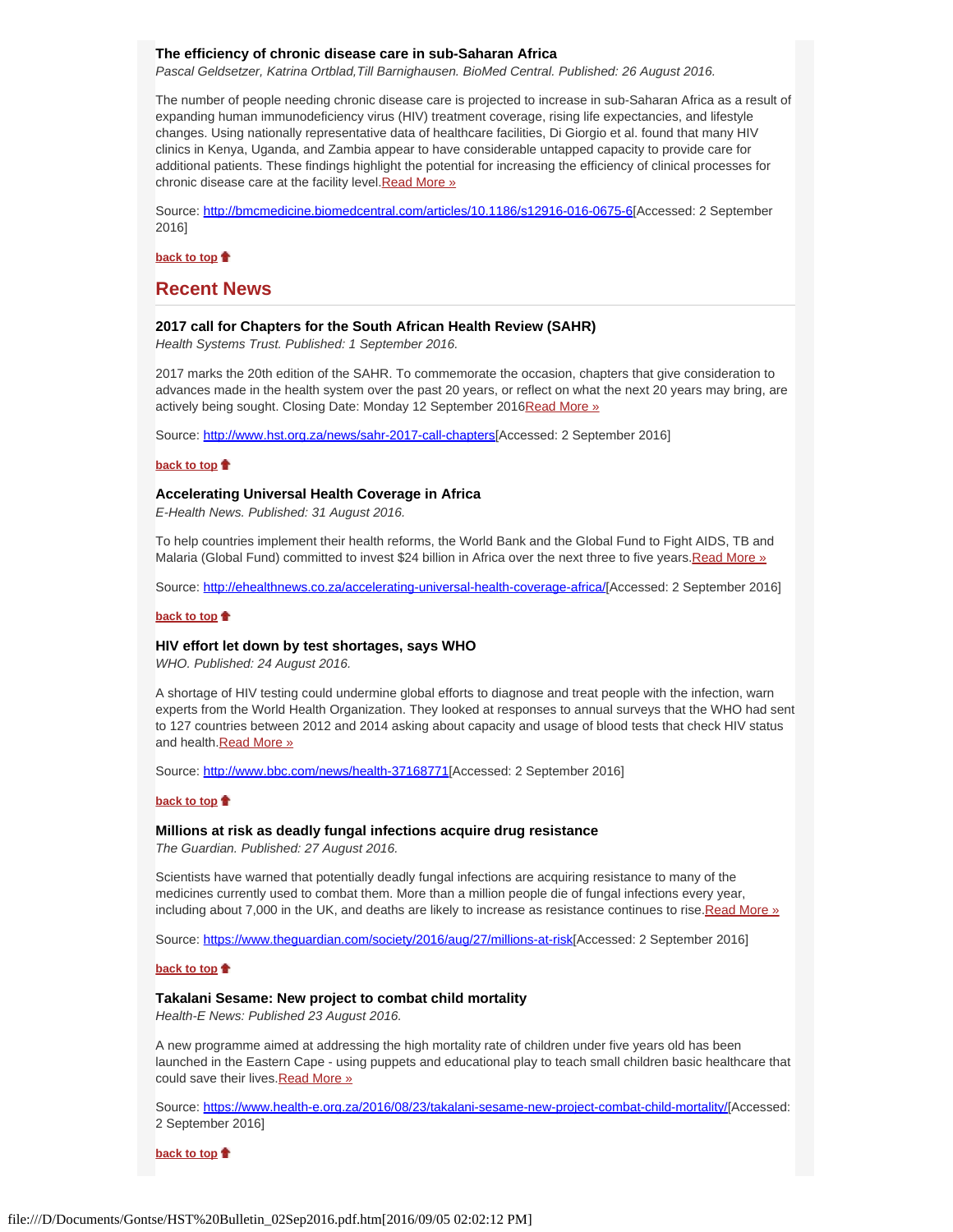### <span id="page-2-0"></span>**The efficiency of chronic disease care in sub-Saharan Africa**

*Pascal Geldsetzer, Katrina Ortblad,Till Barnighausen. BioMed Central. Published: 26 August 2016.*

The number of people needing chronic disease care is projected to increase in sub-Saharan Africa as a result of expanding human immunodeficiency virus (HIV) treatment coverage, rising life expectancies, and lifestyle changes. Using nationally representative data of healthcare facilities, Di Giorgio et al. found that many HIV clinics in Kenya, Uganda, and Zambia appear to have considerable untapped capacity to provide care for additional patients. These findings highlight the potential for increasing the efficiency of clinical processes for chronic disease care at the facility level. Read More »

Source:<http://bmcmedicine.biomedcentral.com/articles/10.1186/s12916-016-0675-6>[Accessed: 2 September 2016]

**[back to top](#page-0-4)**

## <span id="page-2-1"></span>**Recent News**

### <span id="page-2-2"></span>**2017 call for Chapters for the South African Health Review (SAHR)**

*Health Systems Trust. Published: 1 September 2016.*

2017 marks the 20th edition of the SAHR. To commemorate the occasion, chapters that give consideration to advances made in the health system over the past 20 years, or reflect on what the next 20 years may bring, are actively being sought. Closing Date: Monday 12 September 201[6Read More »](http://www.hst.org.za/news/sahr-2017-call-chapters)

Source:<http://www.hst.org.za/news/sahr-2017-call-chapters>[Accessed: 2 September 2016]

### **[back to top](#page-0-4)**

## <span id="page-2-3"></span>**Accelerating Universal Health Coverage in Africa**

*E-Health News. Published: 31 August 2016.*

To help countries implement their health reforms, the World Bank and the Global Fund to Fight AIDS, TB and Malaria (Global Fund) committed to invest \$24 billion in Africa over the next three to five years. Read More »

Source:<http://ehealthnews.co.za/accelerating-universal-health-coverage-africa/>[Accessed: 2 September 2016]

### **[back to top](#page-0-4)**

### <span id="page-2-4"></span>**HIV effort let down by test shortages, says WHO**

*WHO. Published: 24 August 2016.*

A shortage of HIV testing could undermine global efforts to diagnose and treat people with the infection, warn experts from the World Health Organization. They looked at responses to annual surveys that the WHO had sent to 127 countries between 2012 and 2014 asking about capacity and usage of blood tests that check HIV status and health. [Read More »](http://www.hst.org.za/news/hiv-effort-let-down-test-shortages-says-who)

Source:<http://www.bbc.com/news/health-37168771>[Accessed: 2 September 2016]

#### **[back to top](#page-0-4)**

### <span id="page-2-5"></span>**Millions at risk as deadly fungal infections acquire drug resistance**

*The Guardian. Published: 27 August 2016.*

Scientists have warned that potentially deadly fungal infections are acquiring resistance to many of the medicines currently used to combat them. More than a million people die of fungal infections every year, including about 7,000 in the UK, and deaths are likely to increase as resistance continues to rise. Read More »

Source: [https://www.theguardian.com/society/2016/aug/27/millions-at-risk](https://www.theguardian.com/society/2016/aug/27/millions-at-risk-as-deadly-fungal-infections-acquire-drug-resistance?utm_source=esp&utm_medium=Email&utm_campaign=GU+Today+main+NEW+H+categories&utm_term=187899&subid=16654438&CMP=EMCNEWEML6619I2)[Accessed: 2 September 2016]

#### **[back to top](#page-0-4)**

### <span id="page-2-6"></span>**Takalani Sesame: New project to combat child mortality**

*Health-E News: Published 23 August 2016.*

A new programme aimed at addressing the high mortality rate of children under five years old has been launched in the Eastern Cape - using puppets and educational play to teach small children basic healthcare that could save their lives. [Read More »](http://www.hst.org.za/news/takalani-sesame-new-project-combat-child-mortality)

Source:<https://www.health-e.org.za/2016/08/23/takalani-sesame-new-project-combat-child-mortality/>[Accessed: 2 September 2016]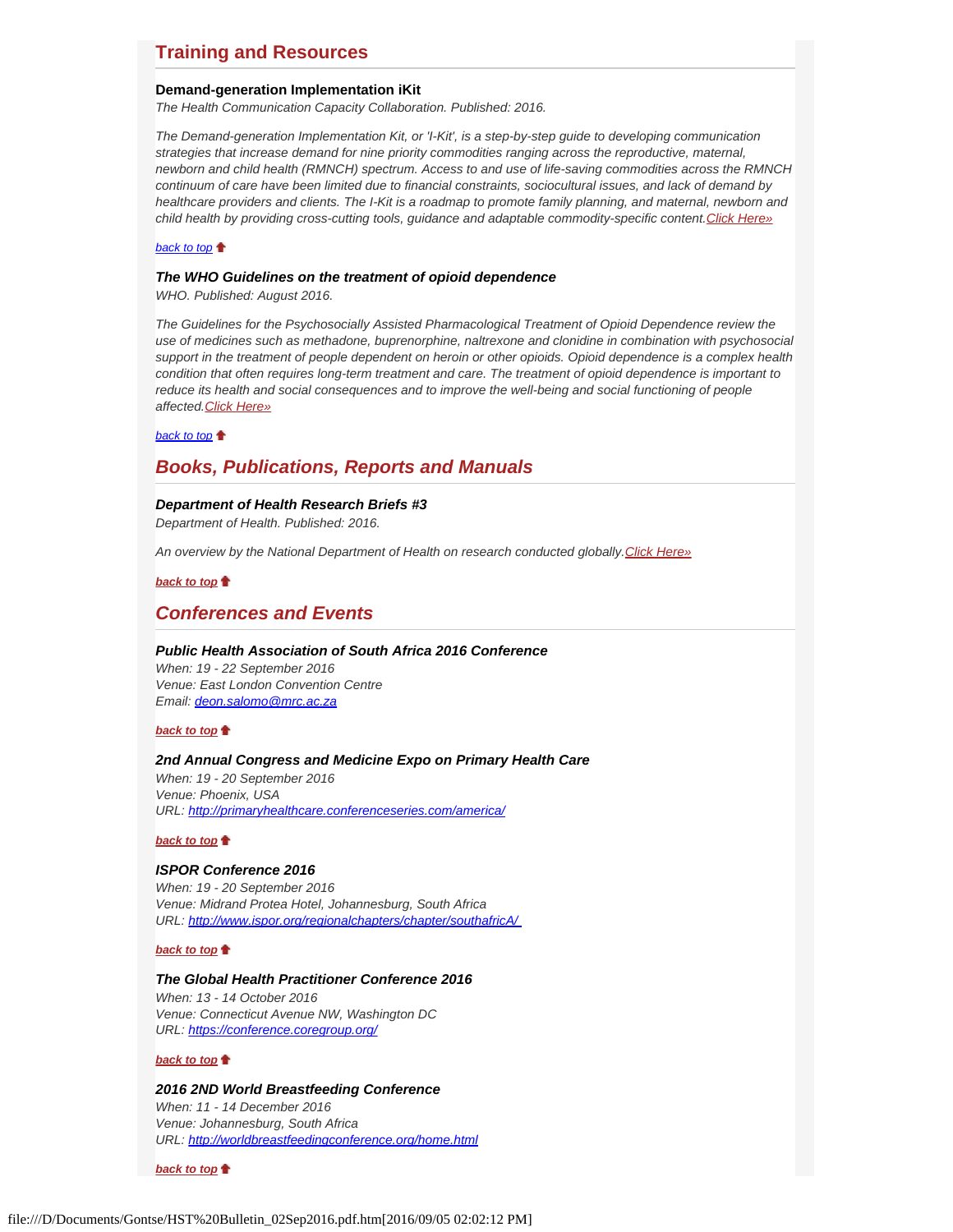# **Training and Resources**

### <span id="page-3-0"></span>**Demand-generation Implementation iKit**

*The Health Communication Capacity Collaboration. Published: 2016.*

*The Demand-generation Implementation Kit, or 'I-Kit', is a step-by-step guide to developing communication strategies that increase demand for nine priority commodities ranging across the reproductive, maternal, newborn and child health (RMNCH) spectrum. Access to and use of life-saving commodities across the RMNCH continuum of care have been limited due to financial constraints, sociocultural issues, and lack of demand by healthcare providers and clients. The I-Kit is a roadmap to promote family planning, and maternal, newborn and child health by providing cross-cutting tools, guidance and adaptable commodity-specific content.[Click Here»](http://sbccimplementationkits.org/demandrmnch/how-to-use-this-kit-2/)*

### *[back to top](#page-0-4)*

### <span id="page-3-1"></span>*The WHO Guidelines on the treatment of opioid dependence*

*WHO. Published: August 2016.*

*The Guidelines for the Psychosocially Assisted Pharmacological Treatment of Opioid Dependence review the use of medicines such as methadone, buprenorphine, naltrexone and clonidine in combination with psychosocial support in the treatment of people dependent on heroin or other opioids. Opioid dependence is a complex health condition that often requires long-term treatment and care. The treatment of opioid dependence is important to reduce its health and social consequences and to improve the well-being and social functioning of people affected.[Click Here»](http://www.who.int/entity/substance_abuse/activities/treatment_opioid_dependence/en/index.html)*

*[back to top](#page-0-4)*

## <span id="page-3-2"></span>*Books, Publications, Reports and Manuals*

## <span id="page-3-3"></span>*Department of Health Research Briefs #3*

*Department of Health. Published: 2016.*

*An overview by the National Department of Health on research conducted globally.[Click Here»](http://www.hst.org.za/publications/counting-costs-flu)*

*[back to top](#page-0-4)*

## <span id="page-3-4"></span>*Conferences and Events*

### <span id="page-3-5"></span>*Public Health Association of South Africa 2016 Conference*

*When: 19 - 22 September 2016 Venue: East London Convention Centre Email: [deon.salomo@mrc.ac.za](file:///D/Documents/Gontse/deon.salomo@mrc.ac.za)*

### *[back to top](#page-0-4)*

## <span id="page-3-6"></span>*2nd Annual Congress and Medicine Expo on Primary Health Care*

*When: 19 - 20 September 2016 Venue: Phoenix, USA URL:<http://primaryhealthcare.conferenceseries.com/america/>*

### *[back to top](#page-0-4)*

## <span id="page-3-7"></span>*ISPOR Conference 2016*

*When: 19 - 20 September 2016 Venue: Midrand Protea Hotel, Johannesburg, South Africa URL:<http://www.ispor.org/regionalchapters/chapter/southafricA/>*

## *[back to top](#page-0-4)*

### <span id="page-3-8"></span>*The Global Health Practitioner Conference 2016*

*When: 13 - 14 October 2016 Venue: Connecticut Avenue NW, Washington DC URL:<https://conference.coregroup.org/>*

### *[back to top](#page-0-4)*

### <span id="page-3-9"></span>*2016 2ND World Breastfeeding Conference When: 11 - 14 December 2016*

*Venue: Johannesburg, South Africa URL:<http://worldbreastfeedingconference.org/home.html>*